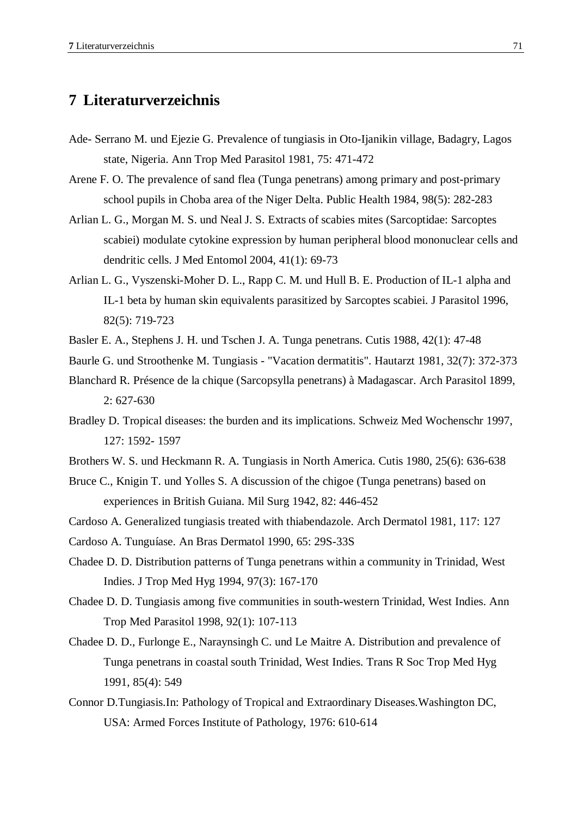## **7 Literaturverzeichnis**

- Ade- Serrano M. und Ejezie G. Prevalence of tungiasis in Oto-Ijanikin village, Badagry, Lagos state, Nigeria. Ann Trop Med Parasitol 1981, 75: 471-472
- Arene F. O. The prevalence of sand flea (Tunga penetrans) among primary and post-primary school pupils in Choba area of the Niger Delta. Public Health 1984, 98(5): 282-283
- Arlian L. G., Morgan M. S. und Neal J. S. Extracts of scabies mites (Sarcoptidae: Sarcoptes scabiei) modulate cytokine expression by human peripheral blood mononuclear cells and dendritic cells. J Med Entomol 2004, 41(1): 69-73
- Arlian L. G., Vyszenski-Moher D. L., Rapp C. M. und Hull B. E. Production of IL-1 alpha and IL-1 beta by human skin equivalents parasitized by Sarcoptes scabiei. J Parasitol 1996, 82(5): 719-723
- Basler E. A., Stephens J. H. und Tschen J. A. Tunga penetrans. Cutis 1988, 42(1): 47-48
- Baurle G. und Stroothenke M. Tungiasis "Vacation dermatitis". Hautarzt 1981, 32(7): 372-373
- Blanchard R. Présence de la chique (Sarcopsylla penetrans) à Madagascar. Arch Parasitol 1899, 2: 627-630
- Bradley D. Tropical diseases: the burden and its implications. Schweiz Med Wochenschr 1997, 127: 1592- 1597
- Brothers W. S. und Heckmann R. A. Tungiasis in North America. Cutis 1980, 25(6): 636-638
- Bruce C., Knigin T. und Yolles S. A discussion of the chigoe (Tunga penetrans) based on experiences in British Guiana. Mil Surg 1942, 82: 446-452
- Cardoso A. Generalized tungiasis treated with thiabendazole. Arch Dermatol 1981, 117: 127
- Cardoso A. Tunguíase. An Bras Dermatol 1990, 65: 29S-33S
- Chadee D. D. Distribution patterns of Tunga penetrans within a community in Trinidad, West Indies. J Trop Med Hyg 1994, 97(3): 167-170
- Chadee D. D. Tungiasis among five communities in south-western Trinidad, West Indies. Ann Trop Med Parasitol 1998, 92(1): 107-113
- Chadee D. D., Furlonge E., Naraynsingh C. und Le Maitre A. Distribution and prevalence of Tunga penetrans in coastal south Trinidad, West Indies. Trans R Soc Trop Med Hyg 1991, 85(4): 549
- Connor D.Tungiasis.In: Pathology of Tropical and Extraordinary Diseases.Washington DC, USA: Armed Forces Institute of Pathology, 1976: 610-614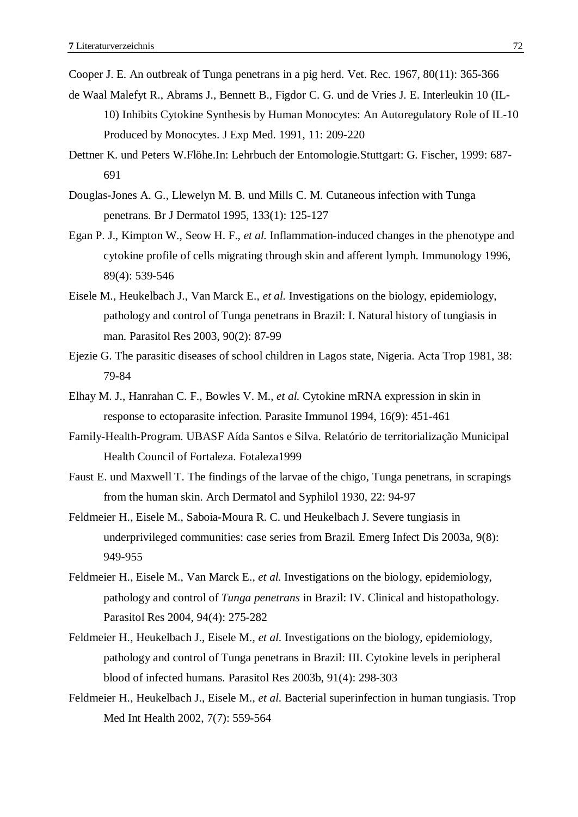Cooper J. E. An outbreak of Tunga penetrans in a pig herd. Vet. Rec. 1967, 80(11): 365-366

- de Waal Malefyt R., Abrams J., Bennett B., Figdor C. G. und de Vries J. E. Interleukin 10 (IL-10) Inhibits Cytokine Synthesis by Human Monocytes: An Autoregulatory Role of IL-10 Produced by Monocytes. J Exp Med. 1991, 11: 209-220
- Dettner K. und Peters W.Flöhe.In: Lehrbuch der Entomologie.Stuttgart: G. Fischer, 1999: 687- 691
- Douglas-Jones A. G., Llewelyn M. B. und Mills C. M. Cutaneous infection with Tunga penetrans. Br J Dermatol 1995, 133(1): 125-127
- Egan P. J., Kimpton W., Seow H. F.*, et al.* Inflammation-induced changes in the phenotype and cytokine profile of cells migrating through skin and afferent lymph. Immunology 1996, 89(4): 539-546
- Eisele M., Heukelbach J., Van Marck E.*, et al.* Investigations on the biology, epidemiology, pathology and control of Tunga penetrans in Brazil: I. Natural history of tungiasis in man. Parasitol Res 2003, 90(2): 87-99
- Ejezie G. The parasitic diseases of school children in Lagos state, Nigeria. Acta Trop 1981, 38: 79-84
- Elhay M. J., Hanrahan C. F., Bowles V. M.*, et al.* Cytokine mRNA expression in skin in response to ectoparasite infection. Parasite Immunol 1994, 16(9): 451-461
- Family-Health-Program. UBASF Aída Santos e Silva. Relatório de territorialização Municipal Health Council of Fortaleza. Fotaleza1999
- Faust E. und Maxwell T. The findings of the larvae of the chigo, Tunga penetrans, in scrapings from the human skin. Arch Dermatol and Syphilol 1930, 22: 94-97
- Feldmeier H., Eisele M., Saboia-Moura R. C. und Heukelbach J. Severe tungiasis in underprivileged communities: case series from Brazil. Emerg Infect Dis 2003a, 9(8): 949-955
- Feldmeier H., Eisele M., Van Marck E.*, et al.* Investigations on the biology, epidemiology, pathology and control of *Tunga penetrans* in Brazil: IV. Clinical and histopathology. Parasitol Res 2004, 94(4): 275-282
- Feldmeier H., Heukelbach J., Eisele M.*, et al.* Investigations on the biology, epidemiology, pathology and control of Tunga penetrans in Brazil: III. Cytokine levels in peripheral blood of infected humans. Parasitol Res 2003b, 91(4): 298-303
- Feldmeier H., Heukelbach J., Eisele M.*, et al.* Bacterial superinfection in human tungiasis. Trop Med Int Health 2002, 7(7): 559-564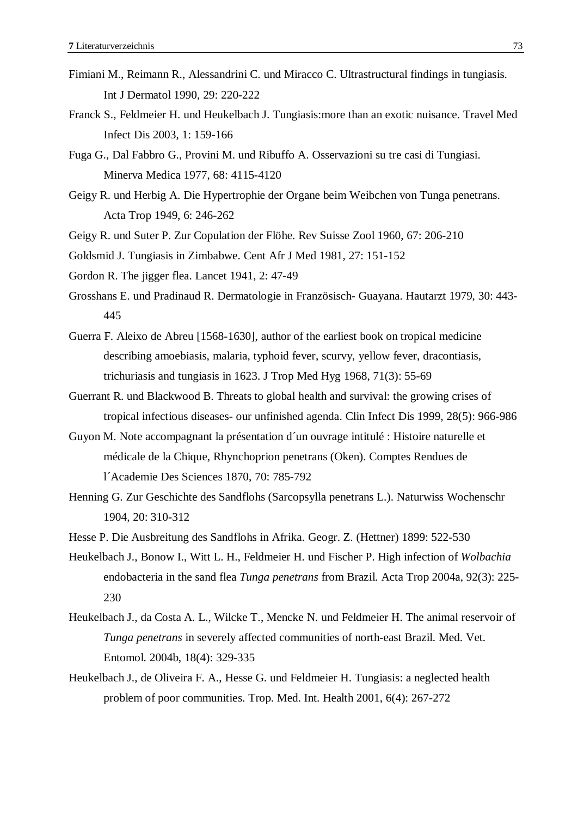- Fimiani M., Reimann R., Alessandrini C. und Miracco C. Ultrastructural findings in tungiasis. Int J Dermatol 1990, 29: 220-222
- Franck S., Feldmeier H. und Heukelbach J. Tungiasis:more than an exotic nuisance. Travel Med Infect Dis 2003, 1: 159-166
- Fuga G., Dal Fabbro G., Provini M. und Ribuffo A. Osservazioni su tre casi di Tungiasi. Minerva Medica 1977, 68: 4115-4120
- Geigy R. und Herbig A. Die Hypertrophie der Organe beim Weibchen von Tunga penetrans. Acta Trop 1949, 6: 246-262
- Geigy R. und Suter P. Zur Copulation der Flöhe. Rev Suisse Zool 1960, 67: 206-210
- Goldsmid J. Tungiasis in Zimbabwe. Cent Afr J Med 1981, 27: 151-152
- Gordon R. The jigger flea. Lancet 1941, 2: 47-49
- Grosshans E. und Pradinaud R. Dermatologie in Französisch- Guayana. Hautarzt 1979, 30: 443- 445
- Guerra F. Aleixo de Abreu [1568-1630], author of the earliest book on tropical medicine describing amoebiasis, malaria, typhoid fever, scurvy, yellow fever, dracontiasis, trichuriasis and tungiasis in 1623. J Trop Med Hyg 1968, 71(3): 55-69
- Guerrant R. und Blackwood B. Threats to global health and survival: the growing crises of tropical infectious diseases- our unfinished agenda. Clin Infect Dis 1999, 28(5): 966-986
- Guyon M. Note accompagnant la présentation d´un ouvrage intitulé : Histoire naturelle et médicale de la Chique, Rhynchoprion penetrans (Oken). Comptes Rendues de l´Academie Des Sciences 1870, 70: 785-792
- Henning G. Zur Geschichte des Sandflohs (Sarcopsylla penetrans L.). Naturwiss Wochenschr 1904, 20: 310-312
- Hesse P. Die Ausbreitung des Sandflohs in Afrika. Geogr. Z. (Hettner) 1899: 522-530
- Heukelbach J., Bonow I., Witt L. H., Feldmeier H. und Fischer P. High infection of *Wolbachia*  endobacteria in the sand flea *Tunga penetrans* from Brazil. Acta Trop 2004a, 92(3): 225- 230
- Heukelbach J., da Costa A. L., Wilcke T., Mencke N. und Feldmeier H. The animal reservoir of *Tunga penetrans* in severely affected communities of north-east Brazil. Med. Vet. Entomol. 2004b, 18(4): 329-335
- Heukelbach J., de Oliveira F. A., Hesse G. und Feldmeier H. Tungiasis: a neglected health problem of poor communities. Trop. Med. Int. Health 2001, 6(4): 267-272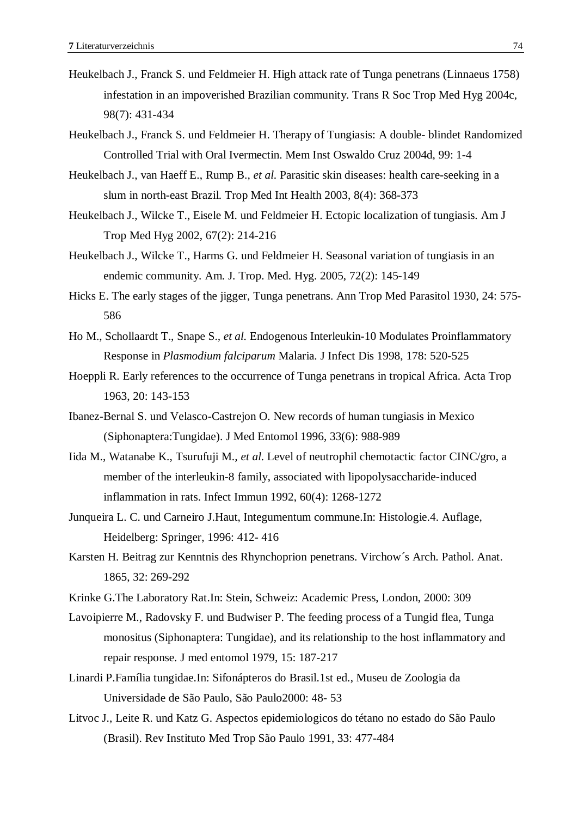- Heukelbach J., Franck S. und Feldmeier H. High attack rate of Tunga penetrans (Linnaeus 1758) infestation in an impoverished Brazilian community. Trans R Soc Trop Med Hyg 2004c, 98(7): 431-434
- Heukelbach J., Franck S. und Feldmeier H. Therapy of Tungiasis: A double- blindet Randomized Controlled Trial with Oral Ivermectin. Mem Inst Oswaldo Cruz 2004d, 99: 1-4
- Heukelbach J., van Haeff E., Rump B.*, et al.* Parasitic skin diseases: health care-seeking in a slum in north-east Brazil. Trop Med Int Health 2003, 8(4): 368-373
- Heukelbach J., Wilcke T., Eisele M. und Feldmeier H. Ectopic localization of tungiasis. Am J Trop Med Hyg 2002, 67(2): 214-216
- Heukelbach J., Wilcke T., Harms G. und Feldmeier H. Seasonal variation of tungiasis in an endemic community. Am. J. Trop. Med. Hyg. 2005, 72(2): 145-149
- Hicks E. The early stages of the jigger, Tunga penetrans. Ann Trop Med Parasitol 1930, 24: 575- 586
- Ho M., Schollaardt T., Snape S.*, et al.* Endogenous Interleukin-10 Modulates Proinflammatory Response in *Plasmodium falciparum* Malaria. J Infect Dis 1998, 178: 520-525
- Hoeppli R. Early references to the occurrence of Tunga penetrans in tropical Africa. Acta Trop 1963, 20: 143-153
- Ibanez-Bernal S. und Velasco-Castrejon O. New records of human tungiasis in Mexico (Siphonaptera:Tungidae). J Med Entomol 1996, 33(6): 988-989
- Iida M., Watanabe K., Tsurufuji M.*, et al.* Level of neutrophil chemotactic factor CINC/gro, a member of the interleukin-8 family, associated with lipopolysaccharide-induced inflammation in rats. Infect Immun 1992, 60(4): 1268-1272
- Junqueira L. C. und Carneiro J.Haut, Integumentum commune.In: Histologie.4. Auflage, Heidelberg: Springer, 1996: 412- 416
- Karsten H. Beitrag zur Kenntnis des Rhynchoprion penetrans. Virchow´s Arch. Pathol. Anat. 1865, 32: 269-292
- Krinke G.The Laboratory Rat.In: Stein, Schweiz: Academic Press, London, 2000: 309
- Lavoipierre M., Radovsky F. und Budwiser P. The feeding process of a Tungid flea, Tunga monositus (Siphonaptera: Tungidae), and its relationship to the host inflammatory and repair response. J med entomol 1979, 15: 187-217
- Linardi P.Família tungidae.In: Sifonápteros do Brasil.1st ed., Museu de Zoologia da Universidade de São Paulo, São Paulo2000: 48- 53
- Litvoc J., Leite R. und Katz G. Aspectos epidemiologicos do tétano no estado do São Paulo (Brasil). Rev Instituto Med Trop São Paulo 1991, 33: 477-484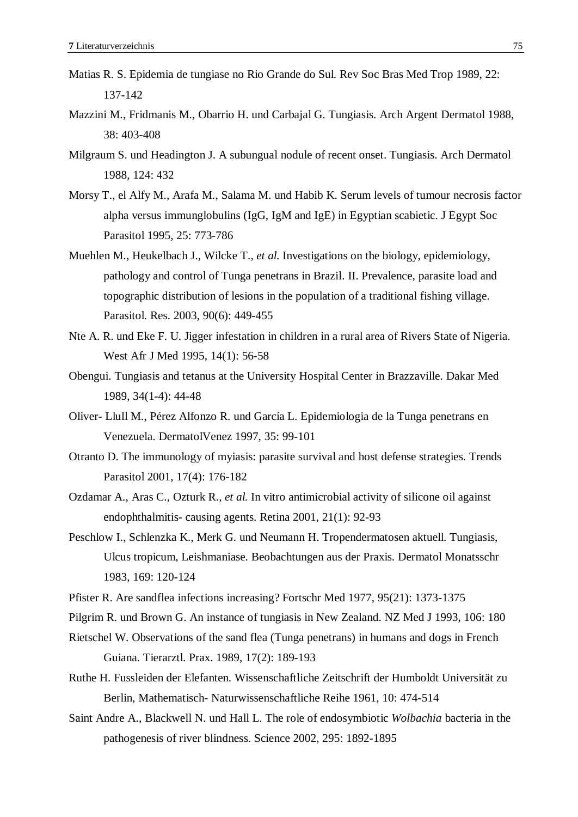- Matias R. S. Epidemia de tungiase no Rio Grande do Sul. Rev Soc Bras Med Trop 1989, 22: 137-142
- Mazzini M., Fridmanis M., Obarrio H. und Carbajal G. Tungiasis. Arch Argent Dermatol 1988, 38: 403-408
- Milgraum S. und Headington J. A subungual nodule of recent onset. Tungiasis. Arch Dermatol 1988, 124: 432
- Morsy T., el Alfy M., Arafa M., Salama M. und Habib K. Serum levels of tumour necrosis factor alpha versus immunglobulins (IgG, IgM and IgE) in Egyptian scabietic. J Egypt Soc Parasitol 1995, 25: 773-786
- Muehlen M., Heukelbach J., Wilcke T.*, et al.* Investigations on the biology, epidemiology, pathology and control of Tunga penetrans in Brazil. II. Prevalence, parasite load and topographic distribution of lesions in the population of a traditional fishing village. Parasitol. Res. 2003, 90(6): 449-455
- Nte A. R. und Eke F. U. Jigger infestation in children in a rural area of Rivers State of Nigeria. West Afr J Med 1995, 14(1): 56-58
- Obengui. Tungiasis and tetanus at the University Hospital Center in Brazzaville. Dakar Med 1989, 34(1-4): 44-48
- Oliver- Llull M., Pérez Alfonzo R. und García L. Epidemiologia de la Tunga penetrans en Venezuela. DermatolVenez 1997, 35: 99-101
- Otranto D. The immunology of myiasis: parasite survival and host defense strategies. Trends Parasitol 2001, 17(4): 176-182
- Ozdamar A., Aras C., Ozturk R.*, et al.* In vitro antimicrobial activity of silicone oil against endophthalmitis- causing agents. Retina 2001, 21(1): 92-93
- Peschlow I., Schlenzka K., Merk G. und Neumann H. Tropendermatosen aktuell. Tungiasis, Ulcus tropicum, Leishmaniase. Beobachtungen aus der Praxis. Dermatol Monatsschr 1983, 169: 120-124
- Pfister R. Are sandflea infections increasing? Fortschr Med 1977, 95(21): 1373-1375
- Pilgrim R. und Brown G. An instance of tungiasis in New Zealand. NZ Med J 1993, 106: 180
- Rietschel W. Observations of the sand flea (Tunga penetrans) in humans and dogs in French Guiana. Tierarztl. Prax. 1989, 17(2): 189-193
- Ruthe H. Fussleiden der Elefanten. Wissenschaftliche Zeitschrift der Humboldt Universität zu Berlin, Mathematisch- Naturwissenschaftliche Reihe 1961, 10: 474-514
- Saint Andre A., Blackwell N. und Hall L. The role of endosymbiotic *Wolbachia* bacteria in the pathogenesis of river blindness. Science 2002, 295: 1892-1895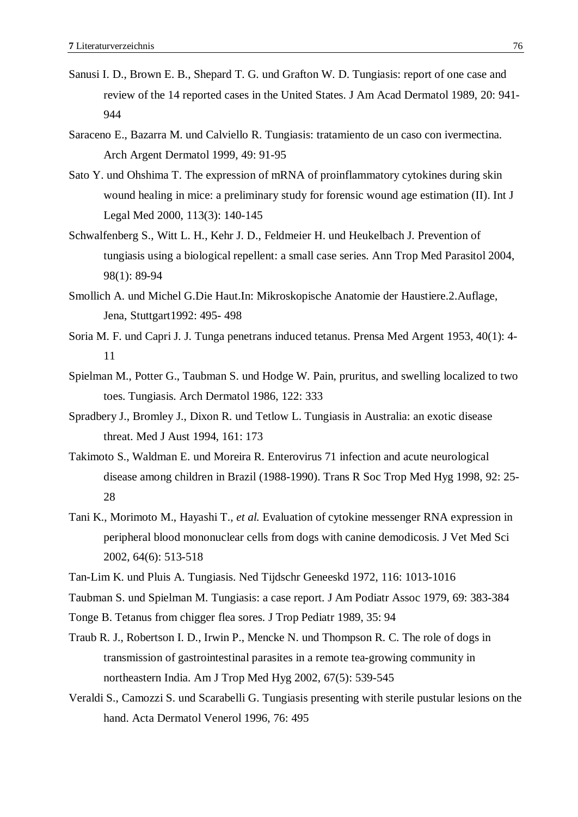- Sanusi I. D., Brown E. B., Shepard T. G. und Grafton W. D. Tungiasis: report of one case and review of the 14 reported cases in the United States. J Am Acad Dermatol 1989, 20: 941- 944
- Saraceno E., Bazarra M. und Calviello R. Tungiasis: tratamiento de un caso con ivermectina. Arch Argent Dermatol 1999, 49: 91-95
- Sato Y. und Ohshima T. The expression of mRNA of proinflammatory cytokines during skin wound healing in mice: a preliminary study for forensic wound age estimation (II). Int J Legal Med 2000, 113(3): 140-145
- Schwalfenberg S., Witt L. H., Kehr J. D., Feldmeier H. und Heukelbach J. Prevention of tungiasis using a biological repellent: a small case series. Ann Trop Med Parasitol 2004, 98(1): 89-94
- Smollich A. und Michel G.Die Haut.In: Mikroskopische Anatomie der Haustiere.2.Auflage, Jena, Stuttgart1992: 495- 498
- Soria M. F. und Capri J. J. Tunga penetrans induced tetanus. Prensa Med Argent 1953, 40(1): 4- 11
- Spielman M., Potter G., Taubman S. und Hodge W. Pain, pruritus, and swelling localized to two toes. Tungiasis. Arch Dermatol 1986, 122: 333
- Spradbery J., Bromley J., Dixon R. und Tetlow L. Tungiasis in Australia: an exotic disease threat. Med J Aust 1994, 161: 173
- Takimoto S., Waldman E. und Moreira R. Enterovirus 71 infection and acute neurological disease among children in Brazil (1988-1990). Trans R Soc Trop Med Hyg 1998, 92: 25- 28
- Tani K., Morimoto M., Hayashi T.*, et al.* Evaluation of cytokine messenger RNA expression in peripheral blood mononuclear cells from dogs with canine demodicosis. J Vet Med Sci 2002, 64(6): 513-518
- Tan-Lim K. und Pluis A. Tungiasis. Ned Tijdschr Geneeskd 1972, 116: 1013-1016
- Taubman S. und Spielman M. Tungiasis: a case report. J Am Podiatr Assoc 1979, 69: 383-384
- Tonge B. Tetanus from chigger flea sores. J Trop Pediatr 1989, 35: 94
- Traub R. J., Robertson I. D., Irwin P., Mencke N. und Thompson R. C. The role of dogs in transmission of gastrointestinal parasites in a remote tea-growing community in northeastern India. Am J Trop Med Hyg 2002, 67(5): 539-545
- Veraldi S., Camozzi S. und Scarabelli G. Tungiasis presenting with sterile pustular lesions on the hand. Acta Dermatol Venerol 1996, 76: 495